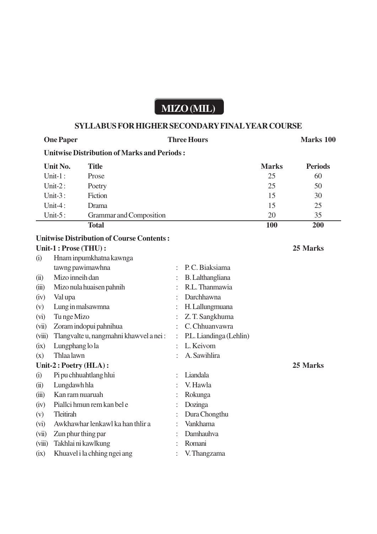## **MIZO (MIL)**

## **SYLLABUS FOR HIGHER SECONDARY FINAL YEAR COURSE**

|                         | <b>One Paper</b>                                   |                                                  | <b>Three Hours</b>      |                         |              | <b>Marks 100</b> |  |  |  |  |
|-------------------------|----------------------------------------------------|--------------------------------------------------|-------------------------|-------------------------|--------------|------------------|--|--|--|--|
|                         | <b>Unitwise Distribution of Marks and Periods:</b> |                                                  |                         |                         |              |                  |  |  |  |  |
|                         | Unit No.                                           | <b>Title</b>                                     |                         |                         | <b>Marks</b> | <b>Periods</b>   |  |  |  |  |
|                         | Unit- $1$ :                                        | Prose                                            |                         |                         | 25           | 60               |  |  |  |  |
|                         | Unit- $2:$                                         | Poetry                                           |                         |                         | 25           | 50               |  |  |  |  |
|                         | Unit- $3:$                                         | Fiction                                          |                         |                         | 15           | 30               |  |  |  |  |
|                         | Unit-4:                                            | Drama                                            |                         |                         | 15           | 25               |  |  |  |  |
| Unit- $5:$              |                                                    | Grammar and Composition                          |                         |                         | 20           | 35               |  |  |  |  |
|                         |                                                    | <b>Total</b>                                     |                         |                         | 100          | 200              |  |  |  |  |
|                         |                                                    | <b>Unitwise Distribution of Course Contents:</b> |                         |                         |              |                  |  |  |  |  |
|                         | Unit-1 : Prose (THU) :                             |                                                  |                         |                         | 25 Marks     |                  |  |  |  |  |
| (i)                     |                                                    | Hnam inpumkhatna kawnga                          |                         |                         |              |                  |  |  |  |  |
|                         |                                                    | tawng pawimawhna                                 |                         | P.C. Biaksiama          |              |                  |  |  |  |  |
| (ii)                    | Mizo inneih dan                                    |                                                  |                         | <b>B.</b> Lalthangliana |              |                  |  |  |  |  |
| (iii)                   |                                                    | Mizo nula huaisen pahnih                         |                         | R.L. Thanmawia          |              |                  |  |  |  |  |
| (iv)                    | Val upa                                            |                                                  |                         | Darchhawna              |              |                  |  |  |  |  |
| (v)                     | Lung in malsawmna                                  |                                                  |                         | H. Lallungmuana         |              |                  |  |  |  |  |
| Tu nge Mizo<br>(vi)     |                                                    |                                                  |                         | Z. T. Sangkhuma         |              |                  |  |  |  |  |
| (vii)                   | Zoram indopui pahnihua                             |                                                  |                         | C. Chhuanvawra          |              |                  |  |  |  |  |
| (viii)                  | Tlangvalte u, nangmahni khawvel a nei:             |                                                  | P.L. Liandinga (Lehlin) |                         |              |                  |  |  |  |  |
| (ix)                    | Lungphang lo la                                    |                                                  | L. Keivom               |                         |              |                  |  |  |  |  |
| (x)                     | Thlaa lawn                                         |                                                  |                         | A. Sawihlira            |              |                  |  |  |  |  |
| Unit-2 : Poetry (HLA) : |                                                    |                                                  |                         |                         |              | 25 Marks         |  |  |  |  |
| (i)                     |                                                    | Pi pu chhuahtlang hlui                           |                         | Liandala                |              |                  |  |  |  |  |
| (ii)                    | Lungdawh hla                                       |                                                  |                         | V. Hawla                |              |                  |  |  |  |  |
| (iii)                   | Kan ram nuaruah                                    |                                                  |                         | Rokunga                 |              |                  |  |  |  |  |
| (iv)                    |                                                    | Piallci hmun rem kan bel e                       |                         | Dozinga                 |              |                  |  |  |  |  |
| (v)                     | Tleitirah                                          |                                                  |                         | Dura Chongthu           |              |                  |  |  |  |  |
| (vi)                    |                                                    | Awkhawhar lenkawl ka han thlir a                 |                         | Vankhama                |              |                  |  |  |  |  |
| (vii)                   | Zun phur thing par                                 |                                                  |                         | Damhauhva               |              |                  |  |  |  |  |
| (viii)                  | Takhlai ni kawlkung                                |                                                  |                         | Romani                  |              |                  |  |  |  |  |
| (ix)                    |                                                    | Khuavel i la chhing ngei ang                     |                         | V. Thangzama            |              |                  |  |  |  |  |